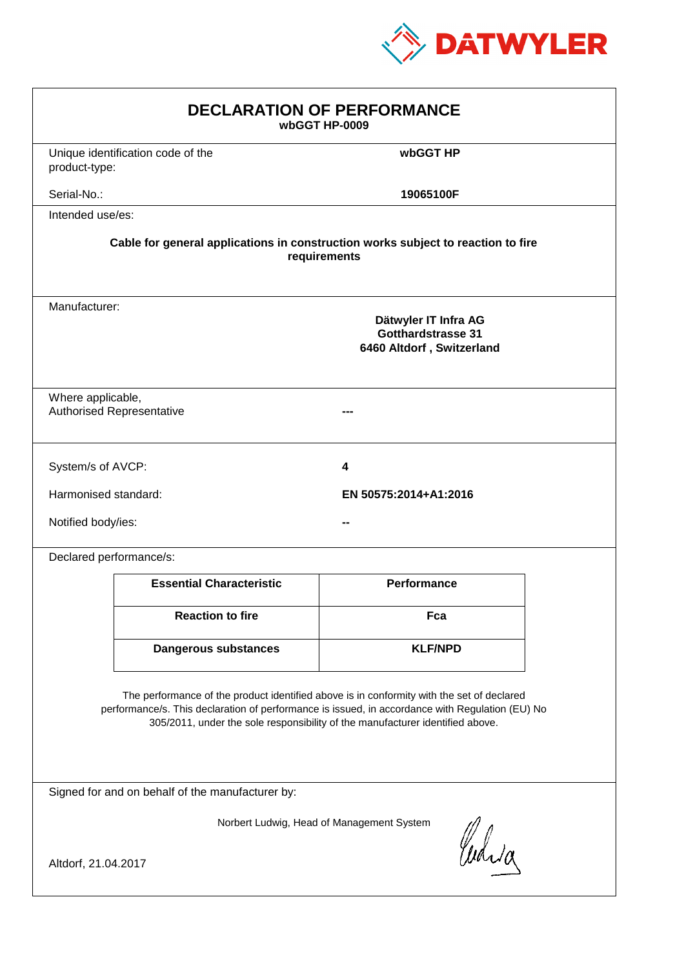

| <b>DECLARATION OF PERFORMANCE</b><br>wbGGT HP-0009                                                                                                                                                                                                                            |                                                                                          |                       |  |  |  |
|-------------------------------------------------------------------------------------------------------------------------------------------------------------------------------------------------------------------------------------------------------------------------------|------------------------------------------------------------------------------------------|-----------------------|--|--|--|
| product-type:                                                                                                                                                                                                                                                                 | Unique identification code of the                                                        | wbGGT HP              |  |  |  |
| Serial-No.:                                                                                                                                                                                                                                                                   |                                                                                          | 19065100F             |  |  |  |
| Intended use/es:                                                                                                                                                                                                                                                              |                                                                                          |                       |  |  |  |
| Cable for general applications in construction works subject to reaction to fire<br>requirements                                                                                                                                                                              |                                                                                          |                       |  |  |  |
|                                                                                                                                                                                                                                                                               | Manufacturer:<br>Dätwyler IT Infra AG<br>Gotthardstrasse 31<br>6460 Altdorf, Switzerland |                       |  |  |  |
|                                                                                                                                                                                                                                                                               | Where applicable,<br><b>Authorised Representative</b>                                    |                       |  |  |  |
| System/s of AVCP:                                                                                                                                                                                                                                                             |                                                                                          | 4                     |  |  |  |
| Harmonised standard:                                                                                                                                                                                                                                                          |                                                                                          | EN 50575:2014+A1:2016 |  |  |  |
| Notified body/ies:                                                                                                                                                                                                                                                            |                                                                                          |                       |  |  |  |
| Declared performance/s:                                                                                                                                                                                                                                                       |                                                                                          |                       |  |  |  |
|                                                                                                                                                                                                                                                                               | <b>Essential Characteristic</b>                                                          | <b>Performance</b>    |  |  |  |
|                                                                                                                                                                                                                                                                               | <b>Reaction to fire</b>                                                                  | Fca                   |  |  |  |
|                                                                                                                                                                                                                                                                               | <b>Dangerous substances</b>                                                              | <b>KLF/NPD</b>        |  |  |  |
| The performance of the product identified above is in conformity with the set of declared<br>performance/s. This declaration of performance is issued, in accordance with Regulation (EU) No<br>305/2011, under the sole responsibility of the manufacturer identified above. |                                                                                          |                       |  |  |  |
| Signed for and on behalf of the manufacturer by:                                                                                                                                                                                                                              |                                                                                          |                       |  |  |  |
| Norbert Ludwig, Head of Management System<br>Curia                                                                                                                                                                                                                            |                                                                                          |                       |  |  |  |
| Altdorf, 21.04.2017                                                                                                                                                                                                                                                           |                                                                                          |                       |  |  |  |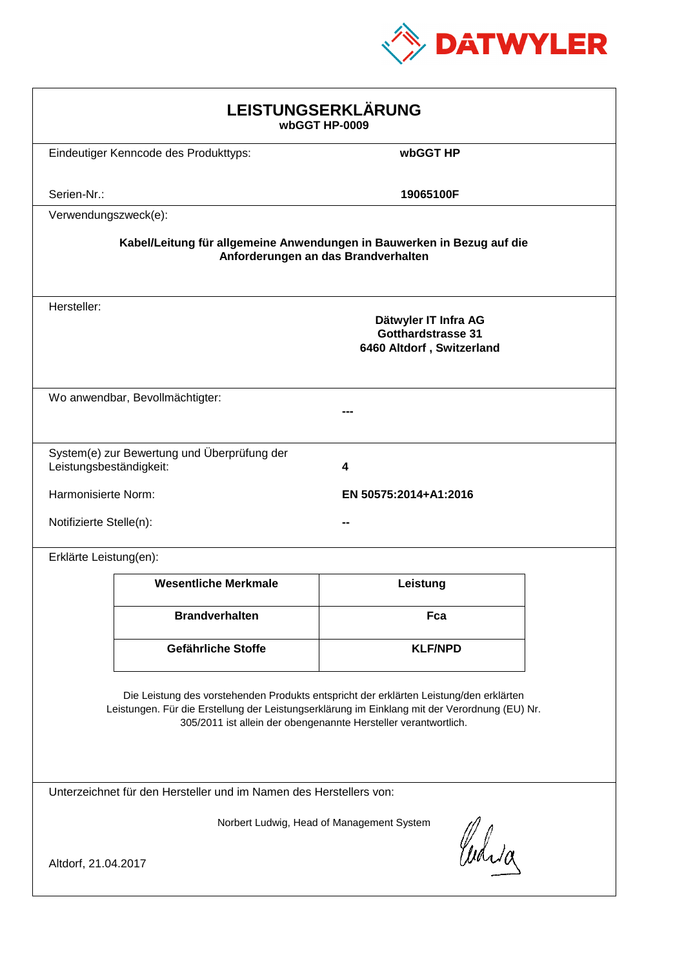

| LEISTUNGSERKLÄRUNG<br>wbGGT HP-0009                                                                                                                                                                                                                        |                                              |                                                                                |  |  |
|------------------------------------------------------------------------------------------------------------------------------------------------------------------------------------------------------------------------------------------------------------|----------------------------------------------|--------------------------------------------------------------------------------|--|--|
|                                                                                                                                                                                                                                                            | Eindeutiger Kenncode des Produkttyps:        | wbGGT HP                                                                       |  |  |
| Serien-Nr.:                                                                                                                                                                                                                                                |                                              | 19065100F                                                                      |  |  |
| Verwendungszweck(e):                                                                                                                                                                                                                                       |                                              |                                                                                |  |  |
| Kabel/Leitung für allgemeine Anwendungen in Bauwerken in Bezug auf die<br>Anforderungen an das Brandverhalten                                                                                                                                              |                                              |                                                                                |  |  |
| Hersteller:                                                                                                                                                                                                                                                |                                              | Dätwyler IT Infra AG<br><b>Gotthardstrasse 31</b><br>6460 Altdorf, Switzerland |  |  |
|                                                                                                                                                                                                                                                            | Wo anwendbar, Bevollmächtigter:              |                                                                                |  |  |
| Leistungsbeständigkeit:                                                                                                                                                                                                                                    | System(e) zur Bewertung und Überprüfung der  | 4                                                                              |  |  |
|                                                                                                                                                                                                                                                            | Harmonisierte Norm:<br>EN 50575:2014+A1:2016 |                                                                                |  |  |
|                                                                                                                                                                                                                                                            | Notifizierte Stelle(n):                      |                                                                                |  |  |
| Erklärte Leistung(en):                                                                                                                                                                                                                                     |                                              |                                                                                |  |  |
|                                                                                                                                                                                                                                                            | <b>Wesentliche Merkmale</b>                  | Leistung                                                                       |  |  |
|                                                                                                                                                                                                                                                            | <b>Brandverhalten</b>                        | Fca                                                                            |  |  |
|                                                                                                                                                                                                                                                            | Gefährliche Stoffe                           | <b>KLF/NPD</b>                                                                 |  |  |
| Die Leistung des vorstehenden Produkts entspricht der erklärten Leistung/den erklärten<br>Leistungen. Für die Erstellung der Leistungserklärung im Einklang mit der Verordnung (EU) Nr.<br>305/2011 ist allein der obengenannte Hersteller verantwortlich. |                                              |                                                                                |  |  |
| Unterzeichnet für den Hersteller und im Namen des Herstellers von:                                                                                                                                                                                         |                                              |                                                                                |  |  |
| Norbert Ludwig, Head of Management System<br>Curia                                                                                                                                                                                                         |                                              |                                                                                |  |  |
| Altdorf, 21.04.2017                                                                                                                                                                                                                                        |                                              |                                                                                |  |  |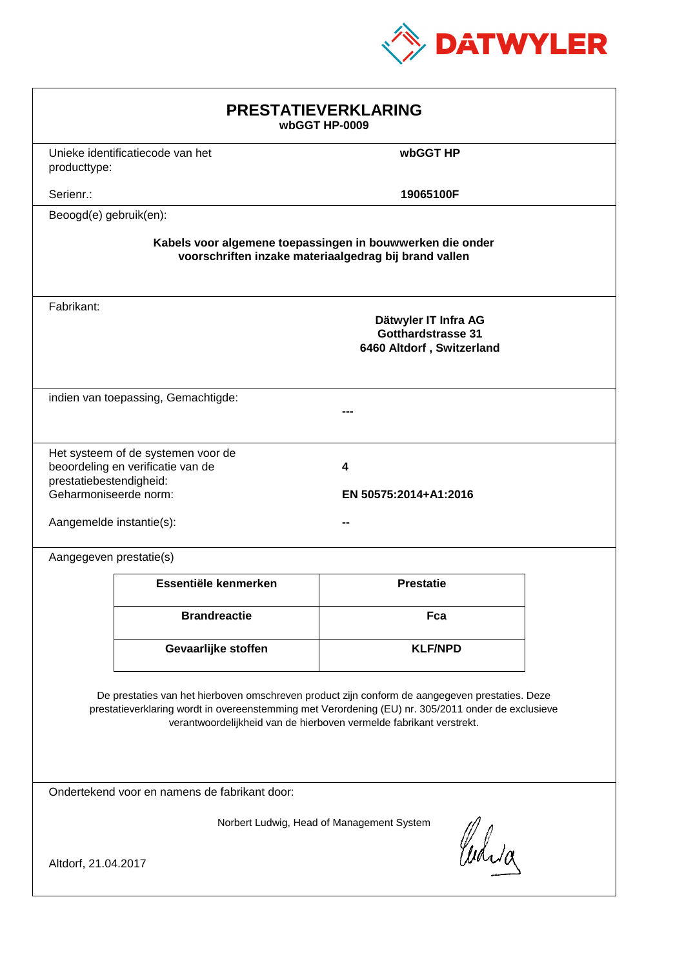

| <b>PRESTATIEVERKLARING</b><br>wbGGT HP-0009                                                                                                                                                                                                                                 |                                     |                                                                                                                    |  |  |
|-----------------------------------------------------------------------------------------------------------------------------------------------------------------------------------------------------------------------------------------------------------------------------|-------------------------------------|--------------------------------------------------------------------------------------------------------------------|--|--|
| producttype:                                                                                                                                                                                                                                                                | Unieke identificatiecode van het    | wbGGT HP                                                                                                           |  |  |
| Serienr.:                                                                                                                                                                                                                                                                   |                                     | 19065100F                                                                                                          |  |  |
| Beoogd(e) gebruik(en):                                                                                                                                                                                                                                                      |                                     |                                                                                                                    |  |  |
|                                                                                                                                                                                                                                                                             |                                     | Kabels voor algemene toepassingen in bouwwerken die onder<br>voorschriften inzake materiaalgedrag bij brand vallen |  |  |
| Fabrikant:                                                                                                                                                                                                                                                                  |                                     | Dätwyler IT Infra AG<br>Gotthardstrasse 31<br>6460 Altdorf, Switzerland                                            |  |  |
|                                                                                                                                                                                                                                                                             | indien van toepassing, Gemachtigde: |                                                                                                                    |  |  |
| Het systeem of de systemen voor de<br>beoordeling en verificatie van de<br>4<br>prestatiebestendigheid:<br>Geharmoniseerde norm:<br>EN 50575:2014+A1:2016<br>Aangemelde instantie(s):                                                                                       |                                     |                                                                                                                    |  |  |
| Aangegeven prestatie(s)                                                                                                                                                                                                                                                     |                                     |                                                                                                                    |  |  |
|                                                                                                                                                                                                                                                                             | Essentiële kenmerken                | <b>Prestatie</b>                                                                                                   |  |  |
|                                                                                                                                                                                                                                                                             | <b>Brandreactie</b>                 | Fca                                                                                                                |  |  |
|                                                                                                                                                                                                                                                                             | Gevaarlijke stoffen                 | <b>KLF/NPD</b>                                                                                                     |  |  |
| De prestaties van het hierboven omschreven product zijn conform de aangegeven prestaties. Deze<br>prestatieverklaring wordt in overeenstemming met Verordening (EU) nr. 305/2011 onder de exclusieve<br>verantwoordelijkheid van de hierboven vermelde fabrikant verstrekt. |                                     |                                                                                                                    |  |  |
| Ondertekend voor en namens de fabrikant door:                                                                                                                                                                                                                               |                                     |                                                                                                                    |  |  |
| Norbert Ludwig, Head of Management System<br>Ward<br>Altdorf, 21.04.2017                                                                                                                                                                                                    |                                     |                                                                                                                    |  |  |
|                                                                                                                                                                                                                                                                             |                                     |                                                                                                                    |  |  |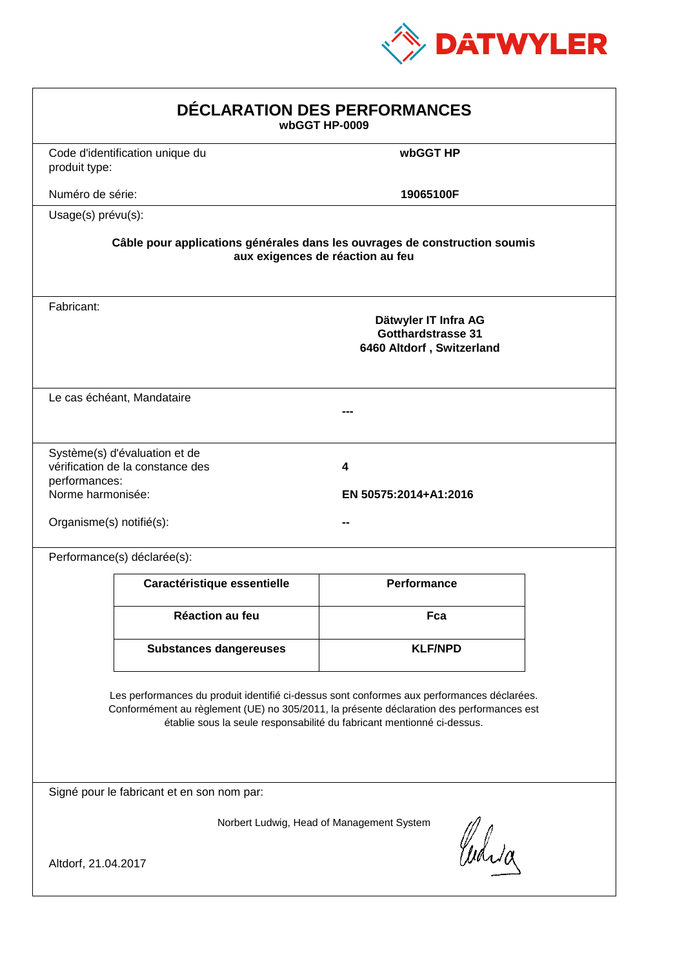

| DÉCLARATION DES PERFORMANCES<br>wbGGT HP-0009                                                                                                                                                                                                                    |                                                                                                                |                                                                                |  |  |  |
|------------------------------------------------------------------------------------------------------------------------------------------------------------------------------------------------------------------------------------------------------------------|----------------------------------------------------------------------------------------------------------------|--------------------------------------------------------------------------------|--|--|--|
| produit type:                                                                                                                                                                                                                                                    | Code d'identification unique du                                                                                | wbGGT HP                                                                       |  |  |  |
| Numéro de série:                                                                                                                                                                                                                                                 |                                                                                                                | 19065100F                                                                      |  |  |  |
| Usage(s) prévu(s):                                                                                                                                                                                                                                               |                                                                                                                |                                                                                |  |  |  |
|                                                                                                                                                                                                                                                                  | Câble pour applications générales dans les ouvrages de construction soumis<br>aux exigences de réaction au feu |                                                                                |  |  |  |
| Fabricant:                                                                                                                                                                                                                                                       |                                                                                                                | Dätwyler IT Infra AG<br><b>Gotthardstrasse 31</b><br>6460 Altdorf, Switzerland |  |  |  |
|                                                                                                                                                                                                                                                                  | Le cas échéant, Mandataire                                                                                     |                                                                                |  |  |  |
| performances:<br>Norme harmonisée:<br>Organisme(s) notifié(s):                                                                                                                                                                                                   | Système(s) d'évaluation et de<br>vérification de la constance des                                              | 4<br>EN 50575:2014+A1:2016                                                     |  |  |  |
|                                                                                                                                                                                                                                                                  | Performance(s) déclarée(s):                                                                                    |                                                                                |  |  |  |
|                                                                                                                                                                                                                                                                  | Caractéristique essentielle                                                                                    | <b>Performance</b>                                                             |  |  |  |
|                                                                                                                                                                                                                                                                  | Réaction au feu                                                                                                | Fca                                                                            |  |  |  |
|                                                                                                                                                                                                                                                                  | <b>Substances dangereuses</b>                                                                                  | <b>KLF/NPD</b>                                                                 |  |  |  |
| Les performances du produit identifié ci-dessus sont conformes aux performances déclarées.<br>Conformément au règlement (UE) no 305/2011, la présente déclaration des performances est<br>établie sous la seule responsabilité du fabricant mentionné ci-dessus. |                                                                                                                |                                                                                |  |  |  |
| Signé pour le fabricant et en son nom par:                                                                                                                                                                                                                       |                                                                                                                |                                                                                |  |  |  |
| Norbert Ludwig, Head of Management System<br>Curia<br>Altdorf, 21.04.2017                                                                                                                                                                                        |                                                                                                                |                                                                                |  |  |  |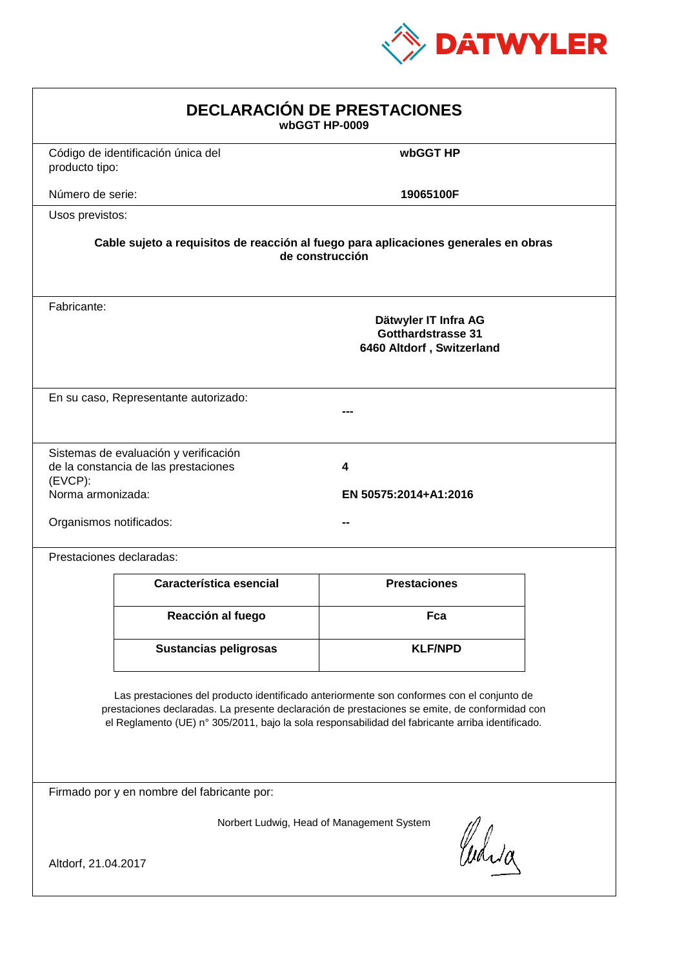

| <b>DECLARACIÓN DE PRESTACIONES</b><br>wbGGT HP-0009                                                                                                                                                                                                                                            |                                                                                                        |                     |  |  |  |
|------------------------------------------------------------------------------------------------------------------------------------------------------------------------------------------------------------------------------------------------------------------------------------------------|--------------------------------------------------------------------------------------------------------|---------------------|--|--|--|
| producto tipo:                                                                                                                                                                                                                                                                                 | Código de identificación única del                                                                     | wbGGT HP            |  |  |  |
| Número de serie:                                                                                                                                                                                                                                                                               |                                                                                                        | 19065100F           |  |  |  |
| Usos previstos:                                                                                                                                                                                                                                                                                |                                                                                                        |                     |  |  |  |
|                                                                                                                                                                                                                                                                                                | Cable sujeto a requisitos de reacción al fuego para aplicaciones generales en obras<br>de construcción |                     |  |  |  |
| Fabricante:                                                                                                                                                                                                                                                                                    | Dätwyler IT Infra AG<br>Gotthardstrasse 31<br>6460 Altdorf, Switzerland                                |                     |  |  |  |
|                                                                                                                                                                                                                                                                                                | En su caso, Representante autorizado:                                                                  |                     |  |  |  |
| Sistemas de evaluación y verificación<br>de la constancia de las prestaciones<br>4<br>$(EVCP)$ :<br>Norma armonizada:<br>EN 50575:2014+A1:2016<br>Organismos notificados:                                                                                                                      |                                                                                                        |                     |  |  |  |
|                                                                                                                                                                                                                                                                                                | Prestaciones declaradas:                                                                               |                     |  |  |  |
|                                                                                                                                                                                                                                                                                                | Característica esencial                                                                                | <b>Prestaciones</b> |  |  |  |
|                                                                                                                                                                                                                                                                                                | Reacción al fuego                                                                                      | Fca                 |  |  |  |
|                                                                                                                                                                                                                                                                                                | <b>Sustancias peligrosas</b>                                                                           | <b>KLF/NPD</b>      |  |  |  |
| Las prestaciones del producto identificado anteriormente son conformes con el conjunto de<br>prestaciones declaradas. La presente declaración de prestaciones se emite, de conformidad con<br>el Reglamento (UE) nº 305/2011, bajo la sola responsabilidad del fabricante arriba identificado. |                                                                                                        |                     |  |  |  |
| Firmado por y en nombre del fabricante por:                                                                                                                                                                                                                                                    |                                                                                                        |                     |  |  |  |
| Norbert Ludwig, Head of Management System<br>anda<br>Altdorf, 21.04.2017                                                                                                                                                                                                                       |                                                                                                        |                     |  |  |  |